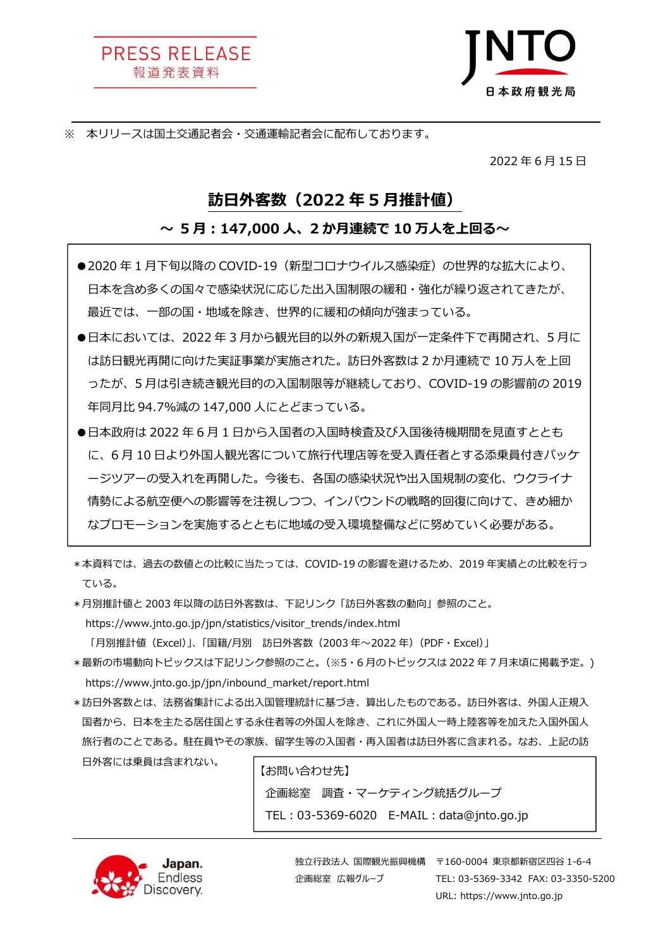PRESS RELEASE 報道発表資料



※ 本リリースは国土交通記者会・交通運輸記者会に配布しております。

2022 年 6 月 15 ⽇

## 訪日外客数(2022 年 5 月推計値)

### 〜 5月:147,000 人、2 か月連続で 10 万人を上回る〜

- ●2020年1月下旬以降の COVID-19 (新型コロナウイルス感染症)の世界的な拡大により、 日本を含め多くの国々で感染状況に応じた出入国制限の緩和・強化が繰り返されてきたが、 最近では、⼀部の国・地域を除き、世界的に緩和の傾向が強まっている。
- ●日本においては、2022 年 3 月から観光目的以外の新規入国が一定条件下で再開され、5 月に は訪日観光再開に向けた実証事業が実施された。訪日外客数は 2 か月連続で 10 万人を上回 ったが、5 月は引き続き観光目的の⼊国制限等が継続しており、COVID-19 の影響前の 2019 年同月比 94.7%減の 147,000 人にとどまっている。
- ●日本政府は 2022 年 6 月 1 日から入国者の入国時検査及び入国後待機期間を見直すととも に、6月10日より外国人観光客について旅行代理店等を受入責任者とする添乗員付きパッケ 一ジツアーの受入れを再開した。今後も、各国の感染状況や出入国規制の変化、ウクライナ 情勢による航空便への影響等を注視しつつ、インバウンドの戦略的回復に向けて、きめ細か なプロモーションを実施するとともに地域の受⼊環境整備などに努めていく必要がある。
- \*本資料では、過去の数値との比較に当たっては、COVID-19 の影響を避けるため、2019 年実績との比較を行っ ている。
- \*月別推計値と 2003 年以降の訪日外客数は、下記リンク「訪日外客数の動向」参照のこと。 https://www.jnto.go.jp/jpn/statistics/visitor\_trends/index.html

「月別推計値 (Excel)」、「国籍/月別 訪日外客数 (2003年~2022年) (PDF・Excel)」

- \*最新の市場動向トピックスは下記リンク参照のこと。(※5・6 月のトピックスは 2022 年 7 月末頃に掲載予定。) https://www.jnto.go.jp/jpn/inbound̲market/report.html
- \*訪日外客数とは、法務省集計による出入国管理統計に基づき、算出したものである。訪日外客は、外国人正規入 国者から、日本を主たる居住国とする永住者等の外国人を除き、これに外国人一時上陸客等を加えた入国外国人 旅行者のことである。駐在員やその家族、留学生等の入国者・再入国者は訪日外客に含まれる。なお、上記の訪 日外客には乗員は含まれない。

【お問い合わせ先】 企画総室 調査・マーケティング統括グループ TEL: 03-5369-6020 E-MAIL: data@jnto.go.jp



企画総室 広報グループ

独立行政法人 国際観光振興機構 – 〒160-0004 東京都新宿区四谷 1-6-4 TEL: 03-5369-3342 FAX: 03-3350-5200 URL: https://www.jnto.go.jp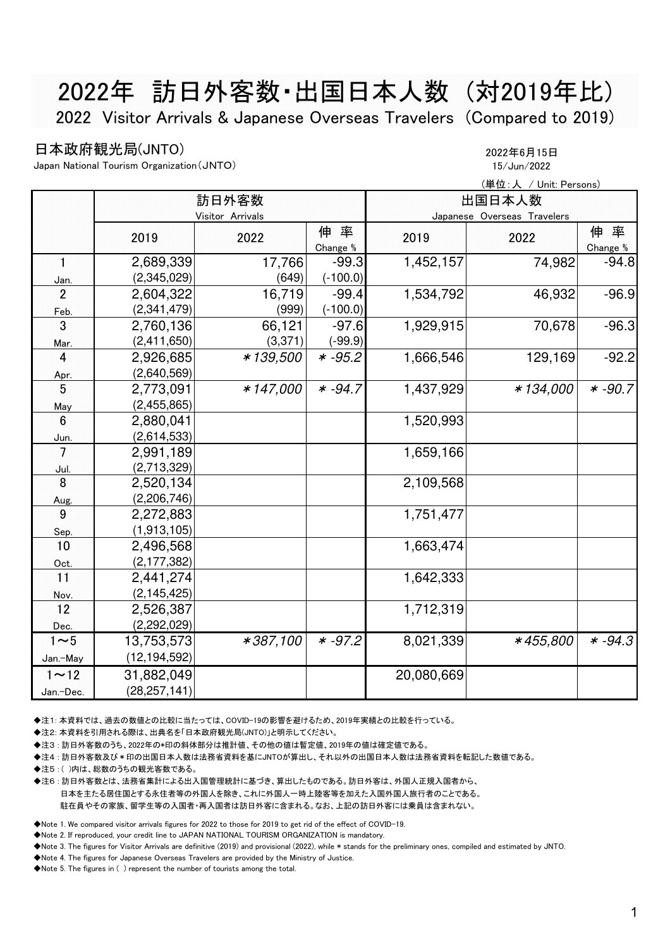# 2022年 訪日外客数・出国日本人数 (対2019年比) 2022 Visitor Arrivals & Japanese Overseas Travelers (Compared to 2019)

## 日本政府観光局(JNTO) 2022年6月15日

Japan National Tourism Organization(JNTO) 15/Jun/2022

|                 |                  |          | (単位:人 / Unit: Persons) |            |                             |                |  |
|-----------------|------------------|----------|------------------------|------------|-----------------------------|----------------|--|
|                 |                  | 訪日外客数    |                        | 出国日本人数     |                             |                |  |
|                 | Visitor Arrivals |          |                        |            | Japanese Overseas Travelers |                |  |
|                 | 2019             | 2022     | 伸率<br>Change %         | 2019       | 2022                        | 伸率<br>Change % |  |
| $\mathbf{1}$    | 2,689,339        | 17,766   | $-99.3$                | 1,452,157  | 74,982                      | $-94.8$        |  |
| Jan.            | (2,345,029)      | (649)    | $(-100.0)$             |            |                             |                |  |
| $\overline{2}$  | 2,604,322        | 16,719   | $-99.4$                | 1,534,792  | 46,932                      | $-96.9$        |  |
| Feb.            | (2,341,479)      | (999)    | $(-100.0)$             |            |                             |                |  |
| 3               | 2,760,136        | 66,121   | $-97.6$                | 1,929,915  | 70,678                      | $-96.3$        |  |
| Mar.            | (2,411,650)      | (3,371)  | $(-99.9)$              |            |                             |                |  |
| $\overline{4}$  | 2,926,685        | *139,500 | $* -95.2$              | 1,666,546  | 129,169                     | $-92.2$        |  |
| Apr.            | (2,640,569)      |          |                        |            |                             |                |  |
| 5               | 2,773,091        | *147,000 | $* -94.7$              | 1,437,929  | *134,000                    | $* -90.7$      |  |
| May             | (2,455,865)      |          |                        |            |                             |                |  |
| 6               | 2,880,041        |          |                        | 1,520,993  |                             |                |  |
| Jun.            | (2,614,533)      |          |                        |            |                             |                |  |
| $7\phantom{.0}$ | 2,991,189        |          |                        | 1,659,166  |                             |                |  |
| Jul.            | (2,713,329)      |          |                        |            |                             |                |  |
| 8               | 2,520,134        |          |                        | 2,109,568  |                             |                |  |
| Aug.            | (2,206,746)      |          |                        |            |                             |                |  |
| 9               | 2,272,883        |          |                        | 1,751,477  |                             |                |  |
| Sep.            | (1,913,105)      |          |                        |            |                             |                |  |
| 10              | 2,496,568        |          |                        | 1,663,474  |                             |                |  |
| Oct.            | (2, 177, 382)    |          |                        |            |                             |                |  |
| 11              | 2,441,274        |          |                        | 1,642,333  |                             |                |  |
| Nov.            | (2, 145, 425)    |          |                        |            |                             |                |  |
| 12              | 2,526,387        |          |                        | 1,712,319  |                             |                |  |
| Dec.            | (2,292,029)      |          |                        |            |                             |                |  |
| $1\sim5$        | 13,753,573       | *387,100 | $* -97.2$              | 8,021,339  | *455,800                    | $* -94.3$      |  |
| Jan.-May        | (12, 194, 592)   |          |                        |            |                             |                |  |
| $1 \sim 12$     | 31,882,049       |          |                        | 20,080,669 |                             |                |  |
| Jan.-Dec.       | (28, 257, 141)   |          |                        |            |                             |                |  |

◆注1: 本資料では、過去の数値との比較に当たっては、COVID-19の影響を避けるため、2019年実績との比較を行っている。

◆注2: 本資料を引用される際は、出典名を「日本政府観光局(JNTO)」と明示してください。

◆注3 : 訪日外客数のうち、2022年の\*印の斜体部分は推計値、その他の値は暫定値、2019年の値は確定値である。

◆注4 : 訪日外客数及び\*印の出国日本人数は法務省資料を基にJNTOが算出し、それ以外の出国日本人数は法務省資料を転記した数値である。

◆注5:()内は、総数のうちの観光客数である。

◆注6 : 訪日外客数とは、法務省集計による出入国管理統計に基づき、算出したものである。訪日外客は、外国人正規入国者から、

 日本を主たる居住国とする永住者等の外国人を除き、これに外国人一時上陸客等を加えた入国外国人旅行者のことである。 駐在員やその家族、留学生等の入国者・再入国者は訪日外客に含まれる。なお、上記の訪日外客には乗員は含まれない。

◆Note 1. We compared visitor arrivals figures for 2022 to those for 2019 to get rid of the effect of COVID-19.

◆Note 2. If reproduced, your credit line to JAPAN NATIONAL TOURISM ORGANIZATION is mandatory.

◆Note 3. The figures for Visitor Arrivals are definitive (2019) and provisional (2022), while \* stands for the preliminary ones, compiled and estimated by JNTO.

◆Note 4. The figures for Japanese Overseas Travelers are provided by the Ministry of Justice.

◆Note 5. The figures in ( ) represent the number of tourists among the total.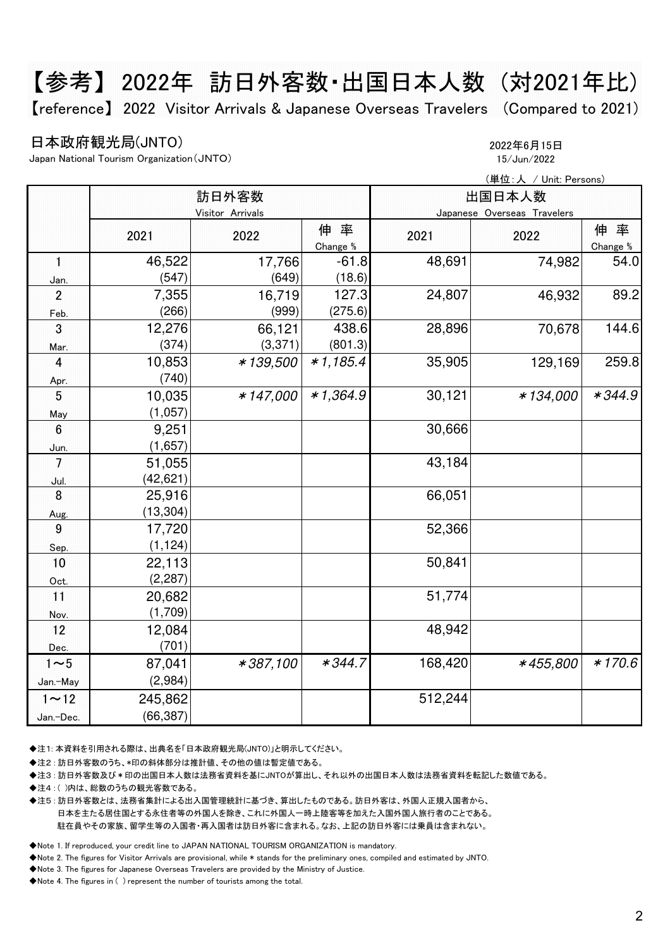# 【参考】 2022年 訪日外客数・出国日本人数 (対2021年比)

【reference】 2022 Visitor Arrivals & Japanese Overseas Travelers (Compared to 2021)

## 日本政府観光局(JNTO) 2022年6月15日

Japan National Tourism Organization(JNTO) 15/Jun/2022

|                         |                  |             | (単位:人 / Unit: Persons) |         |                             |                |  |
|-------------------------|------------------|-------------|------------------------|---------|-----------------------------|----------------|--|
|                         |                  | 訪日外客数       | 出国日本人数                 |         |                             |                |  |
|                         | Visitor Arrivals |             |                        |         | Japanese Overseas Travelers |                |  |
|                         | 2021             | 2022        | 伸率<br>Change %         | 2021    | 2022                        | 伸率<br>Change % |  |
| $\mathbf{1}$            | 46,522           | 17,766      | $-61.8$                | 48,691  | 74,982                      | 54.0           |  |
| Jan.                    | (547)            | (649)       | (18.6)                 |         |                             |                |  |
| $\overline{2}$          | 7,355            | 16,719      | 127.3                  | 24,807  | 46,932                      | 89.2           |  |
| Feb.                    | (266)            | (999)       | (275.6)                |         |                             |                |  |
| 3                       | 12,276           | 66,121      | 438.6                  | 28,896  | 70,678                      | 144.6          |  |
| Mar.                    | (374)            | (3, 371)    | (801.3)                |         |                             |                |  |
| $\overline{\mathbf{4}}$ | 10,853           | *139,500    | $*1,185.4$             | 35,905  | 129,169                     | 259.8          |  |
| Apr.                    | (740)            |             |                        |         |                             |                |  |
| 5                       | 10,035           | $* 147,000$ | $*1,364.9$             | 30,121  | *134,000                    | $*344.9$       |  |
| May                     | (1,057)          |             |                        |         |                             |                |  |
| $6\phantom{1}6$         | 9,251            |             |                        | 30,666  |                             |                |  |
| Jun.                    | (1,657)          |             |                        |         |                             |                |  |
| $\overline{7}$          | 51,055           |             |                        | 43,184  |                             |                |  |
| <u>Jul.</u>             | (42, 621)        |             |                        |         |                             |                |  |
| 8                       | 25,916           |             |                        | 66,051  |                             |                |  |
| Aug.                    | (13, 304)        |             |                        |         |                             |                |  |
| 9                       | 17,720           |             |                        | 52,366  |                             |                |  |
| Sep                     | (1, 124)         |             |                        |         |                             |                |  |
| 10                      | 22,113           |             |                        | 50,841  |                             |                |  |
| Oct.                    | (2, 287)         |             |                        |         |                             |                |  |
| 11                      | 20,682           |             |                        | 51,774  |                             |                |  |
| Nov.                    | (1,709)          |             |                        |         |                             |                |  |
| 12                      | 12,084           |             |                        | 48,942  |                             |                |  |
| Dec.                    | (701)            |             |                        |         |                             |                |  |
| $1 \sim 5$              | 87,041           | *387,100    | $*344.7$               | 168,420 | *455,800                    | $*170.6$       |  |
| Jan.-May                | (2,984)          |             |                        |         |                             |                |  |
| $1 \sim 12$             | 245,862          |             |                        | 512,244 |                             |                |  |
| Jan.-Dec.               | (66, 387)        |             |                        |         |                             |                |  |

◆注1: 本資料を引用される際は、出典名を「日本政府観光局(JNTO)」と明示してください。

◆注2 : 訪日外客数のうち、\*印の斜体部分は推計値、その他の値は暫定値である。

◆注3 : 訪日外客数及び\*印の出国日本人数は法務省資料を基にJNTOが算出し、それ以外の出国日本人数は法務省資料を転記した数値である。

◆注4 : ( )内は、総数のうちの観光客数である。

◆注5 : 訪日外客数とは、法務省集計による出入国管理統計に基づき、算出したものである。訪日外客は、外国人正規入国者から、 日本を主たる居住国とする永住者等の外国人を除き、これに外国人一時上陸客等を加えた入国外国人旅行者のことである。 駐在員やその家族、留学生等の入国者・再入国者は訪日外客に含まれる。なお、上記の訪日外客には乗員は含まれない。

◆Note 1. If reproduced, your credit line to JAPAN NATIONAL TOURISM ORGANIZATION is mandatory.

◆Note 2. The figures for Visitor Arrivals are provisional, while \* stands for the preliminary ones, compiled and estimated by JNTO.

◆Note 3. The figures for Japanese Overseas Travelers are provided by the Ministry of Justice.

◆Note 4. The figures in ( ) represent the number of tourists among the total.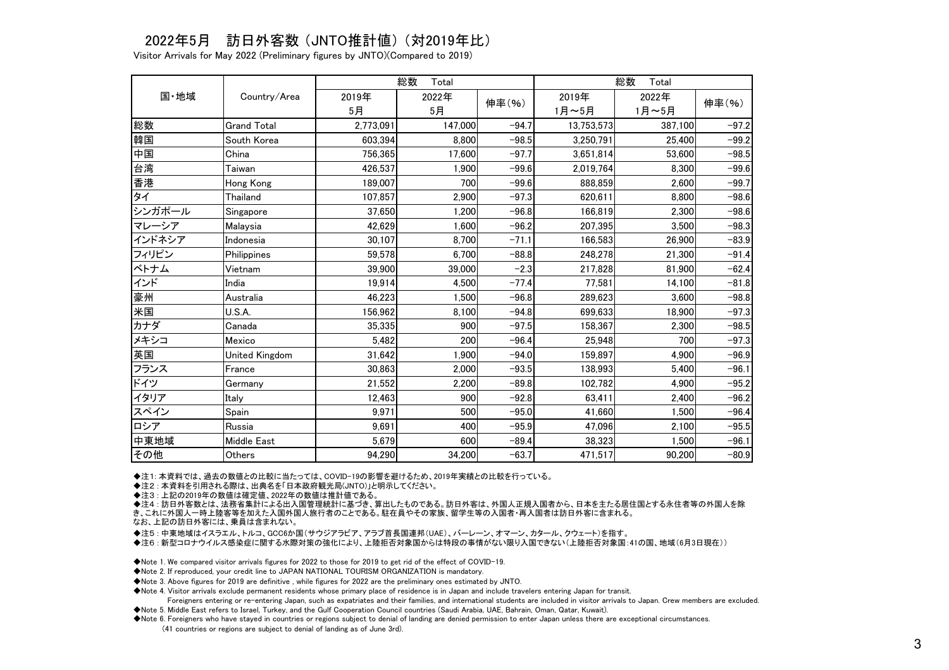## 2022年5月 訪日外客数 (JNTO推計値) (対2019年比)

Visitor Arrivals for May 2022 (Preliminary figures by JNTO)(Compared to 2019)

|        | Country/Area       | 総数<br>Total |         |         | 総数<br>Total |         |         |
|--------|--------------------|-------------|---------|---------|-------------|---------|---------|
| 国·地域   |                    | 2019年       | 2022年   | 伸率(%)   | 2019年       | 2022年   | 伸率(%)   |
|        |                    | 5月          | 5月      |         | 1月~5月       | 1月~5月   |         |
| 総数     | <b>Grand Total</b> | 2,773,091   | 147,000 | $-94.7$ | 13,753,573  | 387,100 | $-97.2$ |
| 韓国     | South Korea        | 603,394     | 8.800   | $-98.5$ | 3,250,791   | 25.400  | $-99.2$ |
| 中国     | China              | 756,365     | 17,600  | $-97.7$ | 3,651,814   | 53,600  | $-98.5$ |
| 台湾     | Taiwan             | 426,537     | 1,900   | $-99.6$ | 2,019,764   | 8,300   | $-99.6$ |
| 香港     | <b>Hong Kong</b>   | 189,007     | 700     | $-99.6$ | 888,859     | 2,600   | $-99.7$ |
| タイ     | Thailand           | 107,857     | 2,900   | $-97.3$ | 620,611     | 8,800   | $-98.6$ |
| シンガポール | Singapore          | 37.650      | 1.200   | $-96.8$ | 166.819     | 2.300   | $-98.6$ |
| マレーシア  | Malaysia           | 42,629      | 1,600   | $-96.2$ | 207,395     | 3,500   | $-98.3$ |
| インドネシア | Indonesia          | 30.107      | 8,700   | $-71.1$ | 166.583     | 26.900  | $-83.9$ |
| フィリピン  | Philippines        | 59,578      | 6,700   | $-88.8$ | 248,278     | 21,300  | $-91.4$ |
| ベトナム   | Vietnam            | 39,900      | 39,000  | $-2.3$  | 217,828     | 81,900  | $-62.4$ |
| インド    | India              | 19,914      | 4,500   | $-77.4$ | 77,581      | 14,100  | $-81.8$ |
| 豪州     | Australia          | 46,223      | 1.500   | $-96.8$ | 289,623     | 3.600   | $-98.8$ |
| 米国     | U.S.A.             | 156,962     | 8,100   | $-94.8$ | 699,633     | 18,900  | $-97.3$ |
| カナダ    | Canada             | 35,335      | 900     | $-97.5$ | 158,367     | 2,300   | $-98.5$ |
| メキシコ   | Mexico             | 5,482       | 200     | $-96.4$ | 25,948      | 700     | $-97.3$ |
| 英国     | United Kingdom     | 31,642      | 1,900   | $-94.0$ | 159,897     | 4.900   | $-96.9$ |
| フランス   | France             | 30,863      | 2,000   | $-93.5$ | 138,993     | 5,400   | $-96.1$ |
| ドイツ    | Germany            | 21,552      | 2.200   | $-89.8$ | 102.782     | 4.900   | $-95.2$ |
| イタリア   | Italy              | 12,463      | 900     | $-92.8$ | 63,411      | 2,400   | $-96.2$ |
| スペイン   | Spain              | 9,971       | 500     | $-95.0$ | 41.660      | 1.500   | $-96.4$ |
| ロシア    | Russia             | 9,691       | 400     | $-95.9$ | 47,096      | 2.100   | $-95.5$ |
| 中東地域   | <b>Middle East</b> | 5.679       | 600     | $-89.4$ | 38,323      | 1.500   | $-96.1$ |
| その他    | Others             | 94,290      | 34.200  | $-63.7$ | 471,517     | 90.200  | $-80.9$ |

◆注1: 本資料では、過去の数値との比較に当たっては、COVID-19の影響を避けるため、2019年実績との比較を行っている。

◆注2 : 本資料を引用される際は、出典名を「日本政府観光局(JNTO)」と明示してください。

◆注3 : 上記の2019年の数値は確定値、2022年の数値は推計値である。

◆注4 : 訪日外客数とは、法務省集計による出入国管理統計に基づき、算出したものである。訪日外客は、外国人正規入国者から、日本を主たる居住国とする永住者等の外国人を除

き、これに外国人一時上陸客等を加えた入国外国人旅行者のことである。駐在員やその家族、留学生等の入国者・再入国者は訪日外客に含まれる。

なお、上記の訪日外客には、乗員は含まれない。

◆注5 : 中東地域はイスラエル、トルコ、GCC6か国(サウジアラビア、アラブ首長国連邦(UAE)、バーレーン、オマーン、カタール、クウェート)を指す。

◆注6 : 新型コロナウイルス感染症に関する水際対策の強化により、上陸拒否対象国からは特段の事情がない限り入国できない(上陸拒否対象国:41の国、地域(6月3日現在))

◆Note 1. We compared visitor arrivals figures for 2022 to those for 2019 to get rid of the effect of COVID-19.

◆Note 2. If reproduced, your credit line to JAPAN NATIONAL TOURISM ORGANIZATION is mandatory.

◆Note 3. Above figures for 2019 are definitive , while figures for 2022 are the preliminary ones estimated by JNTO.

◆Note 4. Visitor arrivals exclude permanent residents whose primary place of residence is in Japan and include travelers entering Japan for transit.

Foreigners entering or re-entering Japan, such as expatriates and their families, and international students are included in visitor arrivals to Japan. Crew members are excluded.

◆Note 5. Middle East refers to Israel, Turkey, and the Gulf Cooperation Council countries (Saudi Arabia, UAE, Bahrain, Oman, Qatar, Kuwait).

◆Note 6. Foreigners who have stayed in countries or regions subject to denial of landing are denied permission to enter Japan unless there are exceptional circumstances.

(41 countries or regions are subject to denial of landing as of June 3rd).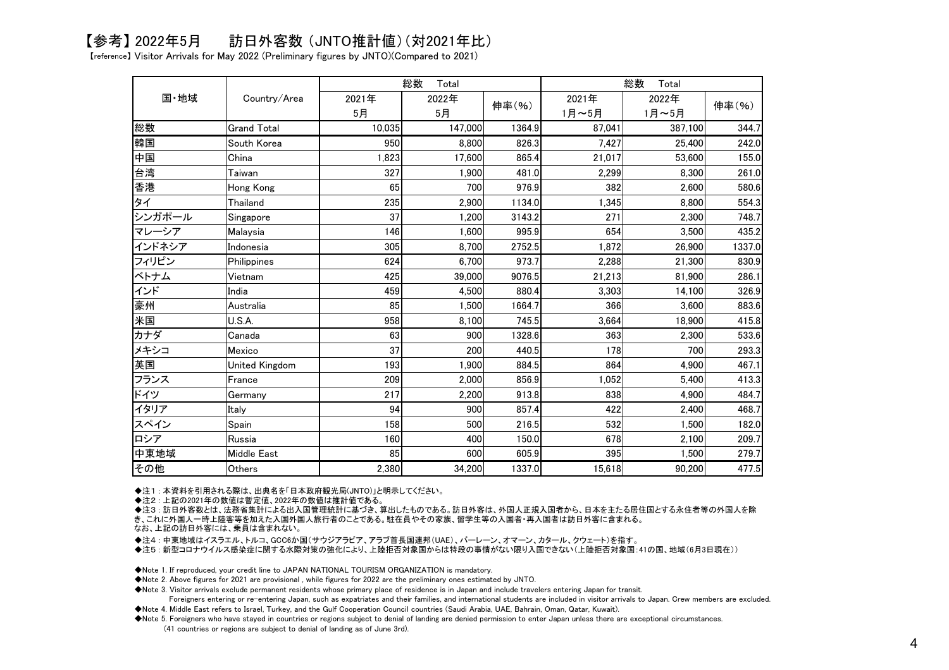## 【参考】 2022年5月 訪日外客数 (JNTO推計値)(対2021年比)

【reference】 Visitor Arrivals for May 2022 (Preliminary figures by JNTO)(Compared to 2021)

|        | Country/Area       | 総数<br>Total |         |        | 総数<br>Total |         |        |
|--------|--------------------|-------------|---------|--------|-------------|---------|--------|
| 国·地域   |                    | 2021年       | 2022年   | 伸率(%)  | 2021年       | 2022年   | 伸率(%)  |
|        |                    | 5月          | 5月      |        | 1月~5月       | 1月~5月   |        |
| 総数     | <b>Grand Total</b> | 10,035      | 147,000 | 1364.9 | 87,041      | 387,100 | 344.7  |
| 韓国     | South Korea        | 950         | 8.800   | 826.3  | 7.427       | 25.400  | 242.0  |
| 中国     | China              | 1,823       | 17,600  | 865.4  | 21,017      | 53.600  | 155.0  |
| 台湾     | Taiwan             | 327         | 1,900   | 481.0  | 2,299       | 8.300   | 261.0  |
| 香港     | Hong Kong          | 65          | 700     | 976.9  | 382         | 2,600   | 580.6  |
| タイ     | Thailand           | 235         | 2.900   | 1134.0 | 1.345       | 8.800   | 554.3  |
| シンガポール | Singapore          | 37          | 1.200   | 3143.2 | 271         | 2,300   | 748.7  |
| マレーシア  | Malaysia           | 146         | 1,600   | 995.9  | 654         | 3,500   | 435.2  |
| インドネシア | Indonesia          | 305         | 8,700   | 2752.5 | 1,872       | 26.900  | 1337.0 |
| フィリピン  | Philippines        | 624         | 6.700   | 973.7  | 2,288       | 21,300  | 830.9  |
| ベトナム   | Vietnam            | 425         | 39,000  | 9076.5 | 21,213      | 81,900  | 286.1  |
| インド    | India              | 459         | 4,500   | 880.4  | 3,303       | 14,100  | 326.9  |
| 豪州     | Australia          | 85          | 1,500   | 1664.7 | 366         | 3.600   | 883.6  |
| 米国     | U.S.A.             | 958         | 8,100   | 745.5  | 3,664       | 18,900  | 415.8  |
| カナダ    | Canada             | 63          | 900     | 1328.6 | 363         | 2.300   | 533.6  |
| メキシコ   | Mexico             | 37          | 200     | 440.5  | 178         | 700     | 293.3  |
| 英国     | United Kingdom     | 193         | 1,900   | 884.5  | 864         | 4,900   | 467.1  |
| フランス   | France             | 209         | 2,000   | 856.9  | 1,052       | 5,400   | 413.3  |
| ドイツ    | Germany            | 217         | 2,200   | 913.8  | 838         | 4,900   | 484.7  |
| イタリア   | Italy              | 94          | 900     | 857.4  | 422         | 2,400   | 468.7  |
| スペイン   | Spain              | 158         | 500     | 216.5  | 532         | 1.500   | 182.0  |
| ロシア    | Russia             | 160         | 400     | 150.0  | 678         | 2,100   | 209.7  |
| 中東地域   | <b>Middle East</b> | 85          | 600     | 605.9  | 395         | 1,500   | 279.7  |
| その他    | Others             | 2,380       | 34.200  | 1337.0 | 15,618      | 90.200  | 477.5  |

◆注1 : 本資料を引用される際は、出典名を「日本政府観光局(JNTO)」と明示してください。

◆注2 : 上記の2021年の数値は暫定値、2022年の数値は推計値である。

 ◆注3 : 訪日外客数とは、法務省集計による出入国管理統計に基づき、算出したものである。訪日外客は、外国人正規入国者から、日本を主たる居住国とする永住者等の外国人を除き、これに外国人一時上陸客等を加えた入国外国人旅行者のことである。駐在員やその家族、留学生等の入国者・再入国者は訪日外客に含まれる。

なお、上記の訪日外客には、乗員は含まれない。

◆注4 : 中東地域はイスラエル、トルコ、GCC6か国(サウジアラビア、アラブ首長国連邦(UAE)、バーレーン、オマーン、カタール、クウェート)を指す。

◆注5 : 新型コロナウイルス感染症に関する水際対策の強化により、上陸拒否対象国からは特段の事情がない限り入国できない(上陸拒否対象国:41の国、地域(6月3日現在))

◆Note 1. If reproduced, your credit line to JAPAN NATIONAL TOURISM ORGANIZATION is mandatory.

◆Note 2. Above figures for 2021 are provisional , while figures for 2022 are the preliminary ones estimated by JNTO.

◆Note 3. Visitor arrivals exclude permanent residents whose primary place of residence is in Japan and include travelers entering Japan for transit.

 Foreigners entering or re-entering Japan, such as expatriates and their families, and international students are included in visitor arrivals to Japan. Crew members are excluded.◆Note 4. Middle East refers to Israel, Turkey, and the Gulf Cooperation Council countries (Saudi Arabia, UAE, Bahrain, Oman, Qatar, Kuwait).

 ◆Note 5. Foreigners who have stayed in countries or regions subject to denial of landing are denied permission to enter Japan unless there are exceptional circumstances.(41 countries or regions are subject to denial of landing as of June 3rd).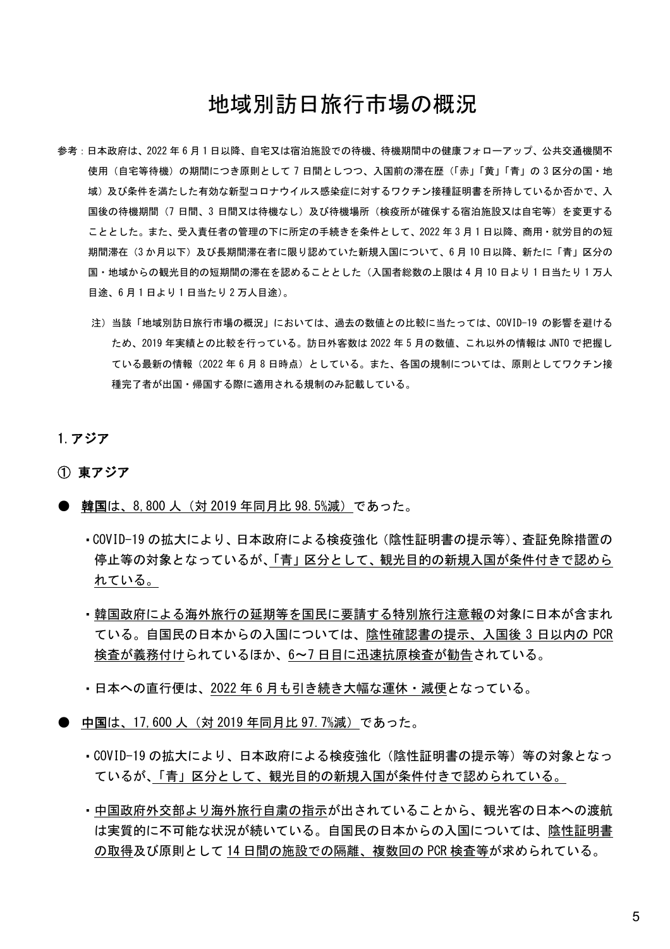## 地域別訪日旅行市場の概況

- 参考:日本政府は、2022 年 6 月 1 日以降、自宅又は宿泊施設での待機、待機期間中の健康フォローアップ、公共交通機関不 使用(自宅等待機)の期間につき原則として 7 日間としつつ、入国前の滞在歴(「赤」「黄」「青」の 3 区分の国・地 域)及び条件を満たした有効な新型コロナウイルス感染症に対するワクチン接種証明書を所持しているか否かで、入 国後の待機期間(7 日間、3 日間又は待機なし)及び待機場所(検疫所が確保する宿泊施設又は自宅等)を変更する こととした。また、受入責任者の管理の下に所定の手続きを条件として、2022 年 3 月 1 日以降、商用・就労目的の短 期間滞在(3 か月以下)及び長期間滞在者に限り認めていた新規入国について、6 月 10 日以降、新たに「青」区分の 国・地域からの観光目的の短期間の滞在を認めることとした(入国者総数の上限は 4 月 10 日より 1 日当たり 1 万人 目途、6 月 1 日より 1 日当たり 2 万人目途)。
	- 注)当該「地域別訪日旅行市場の概況」においては、過去の数値との比較に当たっては、COVID-19 の影響を避ける ため、2019 年実績との比較を行っている。訪日外客数は 2022 年 5 月の数値、これ以外の情報は JNTO で把握し ている最新の情報(2022年6月8日時点)としている。また、各国の規制については、原則としてワクチン接 種完了者が出国・帰国する際に適用される規制のみ記載している。

#### 1.アジア

#### ① 東アジア

- 韓国は、8,800 人(対 2019 年同月比 98.5%減)であった。
	- ・COVID-19 の拡大により、日本政府による検疫強化(陰性証明書の提示等)、査証免除措置の 停止等の対象となっているが、「青」区分として、観光目的の新規入国が条件付きで認めら れている。
	- ・韓国政府による海外旅行の延期等を国民に要請する特別旅行注意報の対象に日本が含まれ ている。自国民の日本からの入国については、陰性確認書の提示、入国後 3 日以内の PCR 検査が義務付けられているほか、6~7 日目に迅速抗原検査が勧告されている。
	- ・日本への直行便は、2022 年 6 月も引き続き大幅な運休・減便となっている。
- 中国は、17,600 人(対 2019 年同月比 97, 7%減)であった。
	- ・COVID-19 の拡大により、日本政府による検疫強化(陰性証明書の提示等)等の対象となっ ているが、「青」区分として、観光目的の新規入国が条件付きで認められている。
	- ・中国政府外交部より海外旅行自粛の指示が出されていることから、観光客の日本への渡航 は実質的に不可能な状況が続いている。自国民の日本からの入国については、陰性証明書 の取得及び原則として 14 日間の施設での隔離、複数回の PCR 検査等が求められている。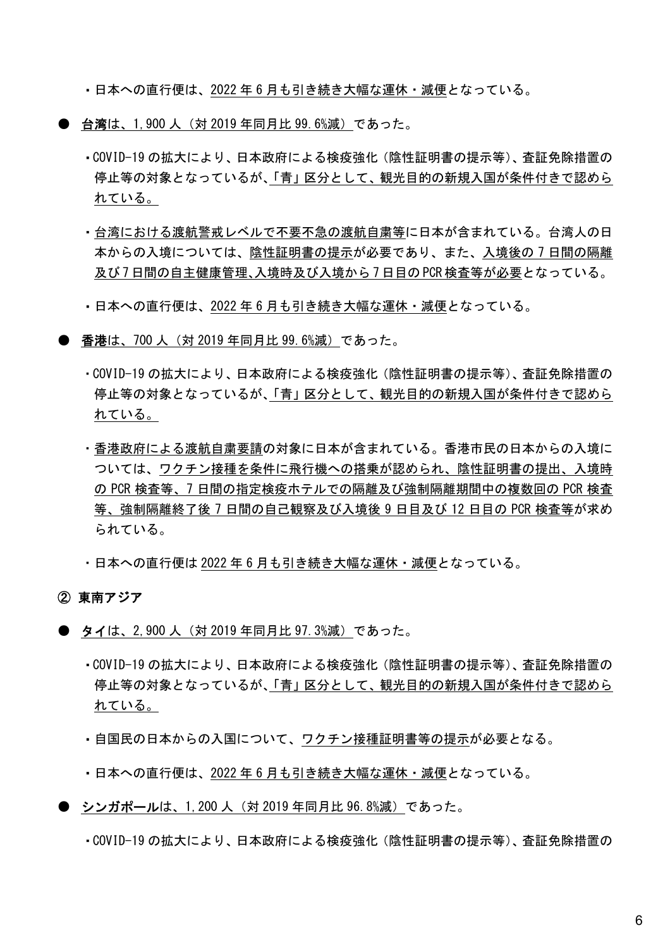・日本への直行便は、2022 年 6 月も引き続き大幅な運休・減便となっている。

- 台湾は、1,900 人(対 2019 年同月比 99.6%減)であった。
	- ・COVID-19 の拡大により、日本政府による検疫強化(陰性証明書の提示等)、査証免除措置の 停止等の対象となっているが、「青」区分として、観光目的の新規入国が条件付きで認めら れている。
	- ・台湾における渡航警戒レベルで不要不急の渡航自粛等に日本が含まれている。台湾人の日 本からの入境については、陰性証明書の提示が必要であり、また、入境後の 7 日間の隔離 及び 7 日間の自主健康管理、入境時及び入境から 7 日目の PCR 検査等が必要となっている。
	- ・日本への直行便は、2022 年 6 月も引き続き大幅な運休・減便となっている。
- 香港は、700 人(対 2019 年同月比 99. 6%減)であった。
	- ・COVID-19 の拡大により、日本政府による検疫強化(陰性証明書の提示等)、査証免除措置の 停止等の対象となっているが、「青」区分として、観光目的の新規入国が条件付きで認めら れている。
	- ・香港政府による渡航自粛要請の対象に日本が含まれている。香港市民の日本からの入境に ついては、ワクチン接種を条件に飛行機への搭乗が認められ、陰性証明書の提出、入境時 の PCR 検査等、7 日間の指定検疫ホテルでの隔離及び強制隔離期間中の複数回の PCR 検査 等、強制隔離終了後 7 日間の自己観察及び入境後 9 日目及び 12 日目の PCR 検査等が求め られている。
	- ・日本への直行便は 2022 年 6 月も引き続き大幅な運休・減便となっている。

#### ② 東南アジア

- タイは、2,900 人(対 2019 年同月比 97,3%減)であった。
	- ・COVID-19 の拡大により、日本政府による検疫強化(陰性証明書の提示等)、査証免除措置の 停止等の対象となっているが、「青」区分として、観光目的の新規入国が条件付きで認めら れている。
	- ・自国民の日本からの入国について、ワクチン接種証明書等の提示が必要となる。
	- ・日本への直行便は、2022 年 6 月も引き続き大幅な運休・減便となっている。
- シンガポールは、1,200 人(対 2019 年同月比 96.8%減)であった。
	- ・COVID-19 の拡大により、日本政府による検疫強化(陰性証明書の提示等)、査証免除措置の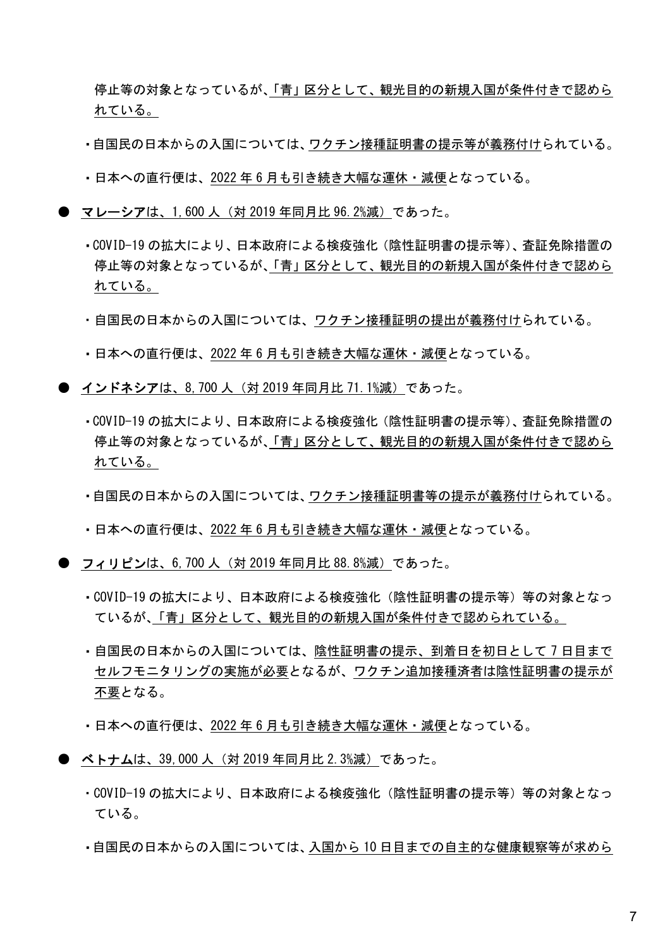停止等の対象となっているが、「青」区分として、観光目的の新規入国が条件付きで認めら れている。

- ・自国民の日本からの入国については、ワクチン接種証明書の提示等が義務付けられている。
- ・日本への直行便は、2022 年 6 月も引き続き大幅な運休・減便となっている。
- マレーシアは、1,600 人(対 2019 年同月比 96.2%減)であった。
	- ・COVID-19 の拡大により、日本政府による検疫強化(陰性証明書の提示等)、査証免除措置の 停止等の対象となっているが、「青」区分として、観光目的の新規入国が条件付きで認めら れている。
	- ・自国民の日本からの入国については、ワクチン接種証明の提出が義務付けられている。
	- ・日本への直行便は、2022 年 6 月も引き続き大幅な運休・減便となっている。
- インドネシアは、8,700 人(対 2019 年同月比 71.1%減)であった。
	- ・COVID-19 の拡大により、日本政府による検疫強化(陰性証明書の提示等)、査証免除措置の 停止等の対象となっているが、「青」区分として、観光目的の新規入国が条件付きで認めら れている。
	- ・自国民の日本からの入国については、ワクチン接種証明書等の提示が義務付けられている。
	- ・日本への直行便は、2022 年 6 月も引き続き大幅な運休・減便となっている。
- フィリピンは、6,700 人(対 2019 年同月比 88.8%減)であった。
	- ・COVID-19 の拡大により、日本政府による検疫強化(陰性証明書の提示等)等の対象となっ ているが、「青」区分として、観光目的の新規入国が条件付きで認められている。
	- ・自国民の日本からの入国については、陰性証明書の提示、到着日を初日として 7 日目まで セルフモニタリングの実施が必要となるが、ワクチン追加接種済者は陰性証明書の提示が 不要となる。
	- ・日本への直行便は、2022 年 6 月も引き続き大幅な運休・減便となっている。
- ベトナムは、39,000 人(対 2019 年同月比 2.3%減)であった。
	- ・COVID-19 の拡大により、日本政府による検疫強化(陰性証明書の提示等)等の対象となっ ている。
	- ・自国民の日本からの入国については、入国から 10 日目までの自主的な健康観察等が求めら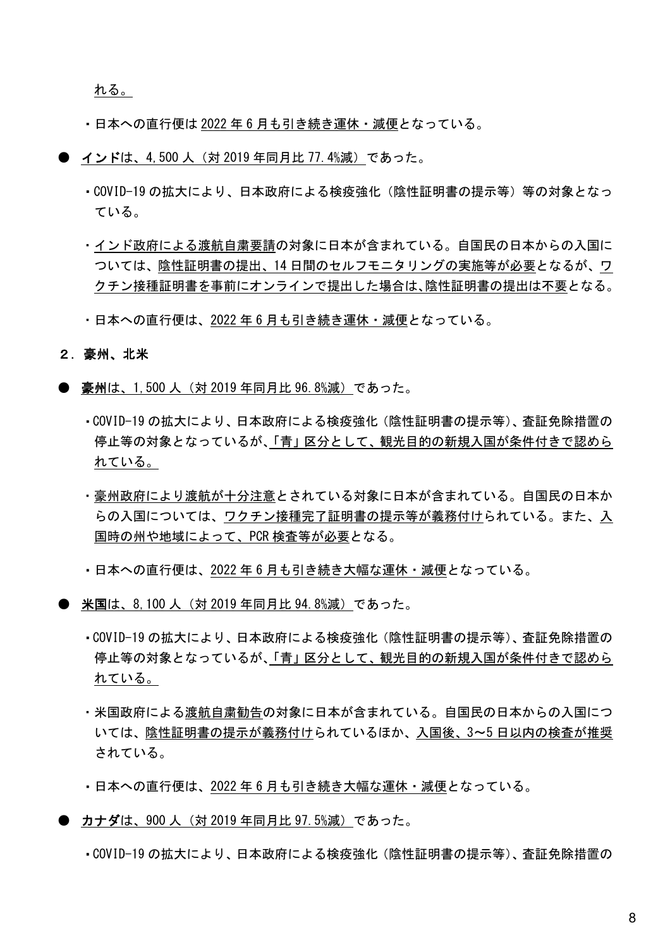れる。

- ・日本への直行便は 2022 年 6 月も引き続き運休・減便となっている。
- インドは、4,500 人(対 2019 年同月比 77.4%減)であった。
	- ・COVID-19 の拡大により、日本政府による検疫強化(陰性証明書の提示等)等の対象となっ ている。
	- ・インド政府による渡航自粛要請の対象に日本が含まれている。自国民の日本からの入国に ついては、陰性証明書の提出、14 日間のセルフモニタリングの実施等が必要となるが、ワ クチン接種証明書を事前にオンラインで提出した場合は、陰性証明書の提出は不要となる。
	- ・日本への直行便は、2022 年 6 月も引き続き運休・減便となっている。

#### 2.豪州、北米

- 豪州は、1,500 人(対 2019 年同月比 96.8%減)であった。
	- ・COVID-19 の拡大により、日本政府による検疫強化(陰性証明書の提示等)、査証免除措置の 停止等の対象となっているが、「青」区分として、観光目的の新規入国が条件付きで認めら れている。
	- ・豪州政府により渡航が十分注意とされている対象に日本が含まれている。自国民の日本か らの入国については、ワクチン接種完了証明書の提示等が義務付けられている。また、入 国時の州や地域によって、PCR 検査等が必要となる。
	- ・日本への直行便は、2022 年 6 月も引き続き大幅な運休・減便となっている。
- **米国**は、8,100 人(対 2019 年同月比 94.8%減)であった。
	- ・COVID-19 の拡大により、日本政府による検疫強化(陰性証明書の提示等)、査証免除措置の 停止等の対象となっているが、「青」区分として、観光目的の新規入国が条件付きで認めら れている。
	- ・米国政府による渡航自粛勧告の対象に日本が含まれている。自国民の日本からの入国につ いては、陰性証明書の提示が義務付けられているほか、入国後、3~5 日以内の検査が推奨 されている。
	- ・日本への直行便は、2022 年 6 月も引き続き大幅な運休・減便となっている。
- カナダは、900 人(対 2019 年同月比 97.5%減)であった。
	- ・COVID-19 の拡大により、日本政府による検疫強化(陰性証明書の提示等)、査証免除措置の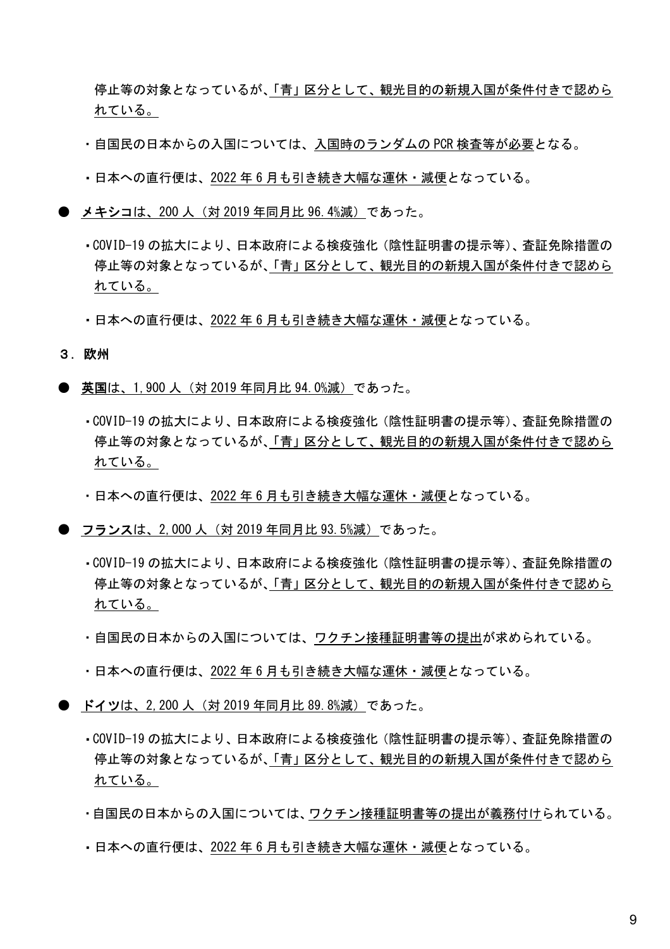停止等の対象となっているが、「青」区分として、観光目的の新規入国が条件付きで認めら れている。

- ・自国民の日本からの入国については、入国時のランダムの PCR 検査等が必要となる。
- ・日本への直行便は、2022 年 6 月も引き続き大幅な運休・減便となっている。
- メキシコは、200 人(対 2019 年同月比 96.4%減)であった。
	- ・COVID-19 の拡大により、日本政府による検疫強化(陰性証明書の提示等)、査証免除措置の 停止等の対象となっているが、「青」区分として、観光目的の新規入国が条件付きで認めら れている。
	- ・日本への直行便は、2022 年 6 月も引き続き大幅な運休・減便となっている。

3.欧州

- 英国は、1,900 人(対 2019 年同月比 94.0%減)であった。
	- ・COVID-19 の拡大により、日本政府による検疫強化(陰性証明書の提示等)、査証免除措置の 停止等の対象となっているが、「青」区分として、観光目的の新規入国が条件付きで認めら れている。
	- ・日本への直行便は、2022 年 6 月も引き続き大幅な運休・減便となっている。
- フランスは、2,000 人(対 2019 年同月比 93,5%減)であった。
	- ・COVID-19 の拡大により、日本政府による検疫強化(陰性証明書の提示等)、査証免除措置の 停止等の対象となっているが、「青」区分として、観光目的の新規入国が条件付きで認めら れている。
	- ・自国民の日本からの入国については、ワクチン接種証明書等の提出が求められている。
	- ・日本への直行便は、2022 年 6 月も引き続き大幅な運休・減便となっている。
- ドイツは、2,200 人(対 2019 年同月比 89,8%減)であった。
	- ・COVID-19 の拡大により、日本政府による検疫強化(陰性証明書の提示等)、査証免除措置の 停止等の対象となっているが、「青」区分として、観光目的の新規入国が条件付きで認めら れている。
	- ・自国民の日本からの入国については、ワクチン接種証明書等の提出が義務付けられている。
	- ・日本への直行便は、2022 年 6 月も引き続き大幅な運休・減便となっている。